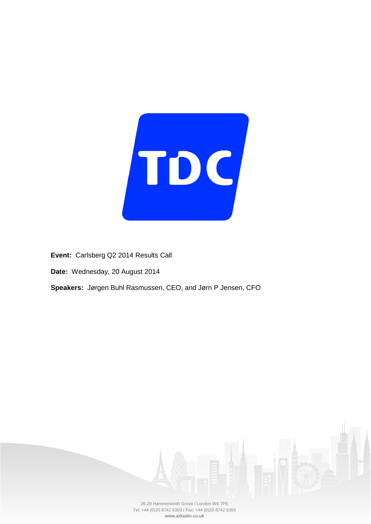

**Event:** Carlsberg Q2 2014 Results Call

**Date:** Wednesday, 20 August 2014

**Speakers:** Jørgen Buhl Rasmussen, CEO, and Jørn P Jensen, CFO

26-28 Hammersmith Grove / London W6 7PE Tel: +44 (0)20 8742 6350 / Fax: +44 (0)20 8742 6355 **www.arkadin.co.uk**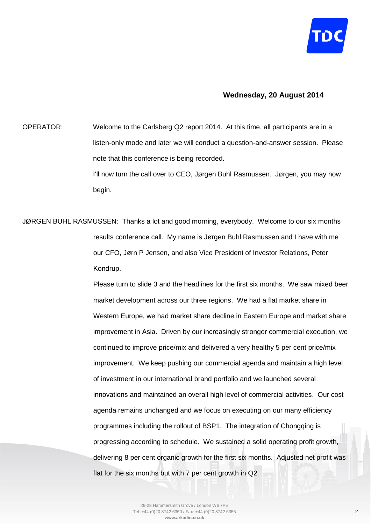

## **Wednesday, 20 August 2014**

OPERATOR: Welcome to the Carlsberg Q2 report 2014. At this time, all participants are in a listen-only mode and later we will conduct a question-and-answer session. Please note that this conference is being recorded. I'll now turn the call over to CEO, Jørgen Buhl Rasmussen. Jørgen, you may now begin.

JØRGEN BUHL RASMUSSEN: Thanks a lot and good morning, everybody. Welcome to our six months results conference call. My name is Jørgen Buhl Rasmussen and I have with me our CFO, Jørn P Jensen, and also Vice President of Investor Relations, Peter Kondrup.

> Please turn to slide 3 and the headlines for the first six months. We saw mixed beer market development across our three regions. We had a flat market share in Western Europe, we had market share decline in Eastern Europe and market share improvement in Asia. Driven by our increasingly stronger commercial execution, we continued to improve price/mix and delivered a very healthy 5 per cent price/mix improvement. We keep pushing our commercial agenda and maintain a high level of investment in our international brand portfolio and we launched several innovations and maintained an overall high level of commercial activities. Our cost agenda remains unchanged and we focus on executing on our many efficiency programmes including the rollout of BSP1. The integration of Chongqing is progressing according to schedule. We sustained a solid operating profit growth, delivering 8 per cent organic growth for the first six months. Adjusted net profit was flat for the six months but with 7 per cent growth in Q2.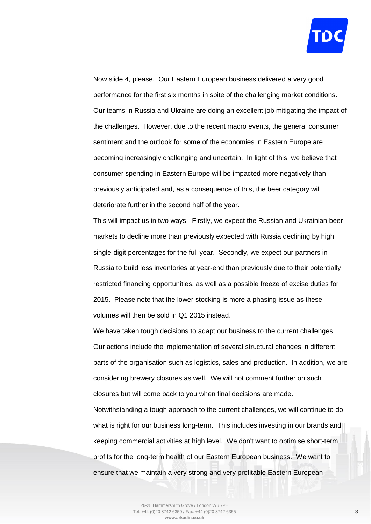

Now slide 4, please. Our Eastern European business delivered a very good performance for the first six months in spite of the challenging market conditions. Our teams in Russia and Ukraine are doing an excellent job mitigating the impact of the challenges. However, due to the recent macro events, the general consumer sentiment and the outlook for some of the economies in Eastern Europe are becoming increasingly challenging and uncertain. In light of this, we believe that consumer spending in Eastern Europe will be impacted more negatively than previously anticipated and, as a consequence of this, the beer category will deteriorate further in the second half of the year.

This will impact us in two ways. Firstly, we expect the Russian and Ukrainian beer markets to decline more than previously expected with Russia declining by high single-digit percentages for the full year. Secondly, we expect our partners in Russia to build less inventories at year-end than previously due to their potentially restricted financing opportunities, as well as a possible freeze of excise duties for 2015. Please note that the lower stocking is more a phasing issue as these volumes will then be sold in Q1 2015 instead.

We have taken tough decisions to adapt our business to the current challenges. Our actions include the implementation of several structural changes in different parts of the organisation such as logistics, sales and production. In addition, we are considering brewery closures as well. We will not comment further on such closures but will come back to you when final decisions are made.

Notwithstanding a tough approach to the current challenges, we will continue to do what is right for our business long-term. This includes investing in our brands and keeping commercial activities at high level. We don't want to optimise short-term profits for the long-term health of our Eastern European business. We want to ensure that we maintain a very strong and very profitable Eastern European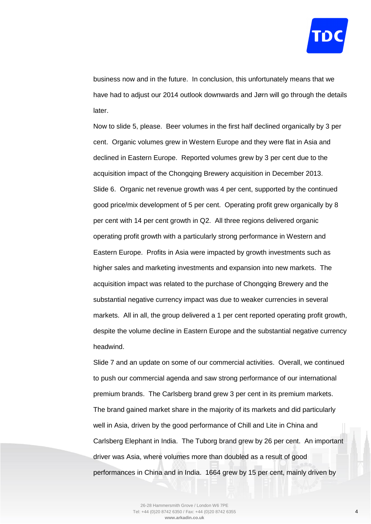

business now and in the future. In conclusion, this unfortunately means that we have had to adjust our 2014 outlook downwards and Jørn will go through the details later.

Now to slide 5, please. Beer volumes in the first half declined organically by 3 per cent. Organic volumes grew in Western Europe and they were flat in Asia and declined in Eastern Europe. Reported volumes grew by 3 per cent due to the acquisition impact of the Chongqing Brewery acquisition in December 2013. Slide 6. Organic net revenue growth was 4 per cent, supported by the continued good price/mix development of 5 per cent. Operating profit grew organically by 8 per cent with 14 per cent growth in Q2. All three regions delivered organic operating profit growth with a particularly strong performance in Western and Eastern Europe. Profits in Asia were impacted by growth investments such as higher sales and marketing investments and expansion into new markets. The acquisition impact was related to the purchase of Chongqing Brewery and the substantial negative currency impact was due to weaker currencies in several markets. All in all, the group delivered a 1 per cent reported operating profit growth, despite the volume decline in Eastern Europe and the substantial negative currency headwind.

Slide 7 and an update on some of our commercial activities. Overall, we continued to push our commercial agenda and saw strong performance of our international premium brands. The Carlsberg brand grew 3 per cent in its premium markets. The brand gained market share in the majority of its markets and did particularly well in Asia, driven by the good performance of Chill and Lite in China and Carlsberg Elephant in India. The Tuborg brand grew by 26 per cent. An important driver was Asia, where volumes more than doubled as a result of good performances in China and in India. 1664 grew by 15 per cent, mainly driven by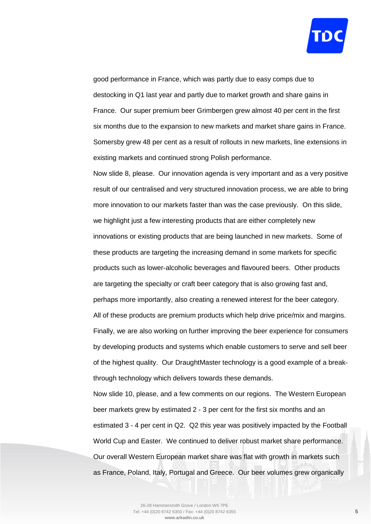

good performance in France, which was partly due to easy comps due to destocking in Q1 last year and partly due to market growth and share gains in France. Our super premium beer Grimbergen grew almost 40 per cent in the first six months due to the expansion to new markets and market share gains in France. Somersby grew 48 per cent as a result of rollouts in new markets, line extensions in existing markets and continued strong Polish performance.

Now slide 8, please. Our innovation agenda is very important and as a very positive result of our centralised and very structured innovation process, we are able to bring more innovation to our markets faster than was the case previously. On this slide, we highlight just a few interesting products that are either completely new innovations or existing products that are being launched in new markets. Some of these products are targeting the increasing demand in some markets for specific products such as lower-alcoholic beverages and flavoured beers. Other products are targeting the specialty or craft beer category that is also growing fast and, perhaps more importantly, also creating a renewed interest for the beer category. All of these products are premium products which help drive price/mix and margins. Finally, we are also working on further improving the beer experience for consumers by developing products and systems which enable customers to serve and sell beer of the highest quality. Our DraughtMaster technology is a good example of a breakthrough technology which delivers towards these demands.

Now slide 10, please, and a few comments on our regions. The Western European beer markets grew by estimated 2 - 3 per cent for the first six months and an estimated 3 - 4 per cent in Q2. Q2 this year was positively impacted by the Football World Cup and Easter. We continued to deliver robust market share performance. Our overall Western European market share was flat with growth in markets such as France, Poland, Italy, Portugal and Greece. Our beer volumes grew organically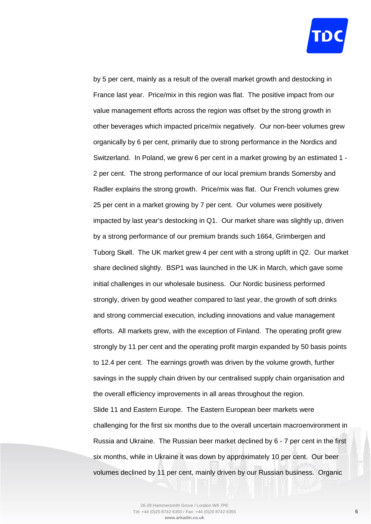

by 5 per cent, mainly as a result of the overall market growth and destocking in France last year. Price/mix in this region was flat. The positive impact from our value management efforts across the region was offset by the strong growth in other beverages which impacted price/mix negatively. Our non-beer volumes grew organically by 6 per cent, primarily due to strong performance in the Nordics and Switzerland. In Poland, we grew 6 per cent in a market growing by an estimated 1 - 2 per cent. The strong performance of our local premium brands Somersby and Radler explains the strong growth. Price/mix was flat. Our French volumes grew 25 per cent in a market growing by 7 per cent. Our volumes were positively impacted by last year's destocking in Q1. Our market share was slightly up, driven by a strong performance of our premium brands such 1664, Grimbergen and Tuborg Skøll. The UK market grew 4 per cent with a strong uplift in Q2. Our market share declined slightly. BSP1 was launched in the UK in March, which gave some initial challenges in our wholesale business. Our Nordic business performed strongly, driven by good weather compared to last year, the growth of soft drinks and strong commercial execution, including innovations and value management efforts. All markets grew, with the exception of Finland. The operating profit grew strongly by 11 per cent and the operating profit margin expanded by 50 basis points to 12.4 per cent. The earnings growth was driven by the volume growth, further savings in the supply chain driven by our centralised supply chain organisation and the overall efficiency improvements in all areas throughout the region. Slide 11 and Eastern Europe. The Eastern European beer markets were challenging for the first six months due to the overall uncertain macroenvironment in Russia and Ukraine. The Russian beer market declined by 6 - 7 per cent in the first six months, while in Ukraine it was down by approximately 10 per cent. Our beer

volumes declined by 11 per cent, mainly driven by our Russian business. Organic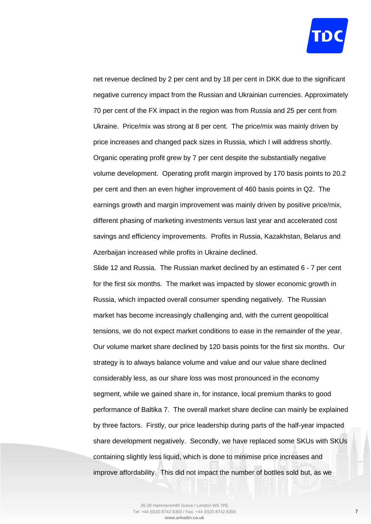

net revenue declined by 2 per cent and by 18 per cent in DKK due to the significant negative currency impact from the Russian and Ukrainian currencies. Approximately 70 per cent of the FX impact in the region was from Russia and 25 per cent from Ukraine. Price/mix was strong at 8 per cent. The price/mix was mainly driven by price increases and changed pack sizes in Russia, which I will address shortly. Organic operating profit grew by 7 per cent despite the substantially negative volume development. Operating profit margin improved by 170 basis points to 20.2 per cent and then an even higher improvement of 460 basis points in Q2. The earnings growth and margin improvement was mainly driven by positive price/mix, different phasing of marketing investments versus last year and accelerated cost savings and efficiency improvements. Profits in Russia, Kazakhstan, Belarus and Azerbaijan increased while profits in Ukraine declined.

Slide 12 and Russia. The Russian market declined by an estimated 6 - 7 per cent for the first six months. The market was impacted by slower economic growth in Russia, which impacted overall consumer spending negatively. The Russian market has become increasingly challenging and, with the current geopolitical tensions, we do not expect market conditions to ease in the remainder of the year. Our volume market share declined by 120 basis points for the first six months. Our strategy is to always balance volume and value and our value share declined considerably less, as our share loss was most pronounced in the economy segment, while we gained share in, for instance, local premium thanks to good performance of Baltika 7. The overall market share decline can mainly be explained by three factors. Firstly, our price leadership during parts of the half-year impacted share development negatively. Secondly, we have replaced some SKUs with SKUs containing slightly less liquid, which is done to minimise price increases and improve affordability. This did not impact the number of bottles sold but, as we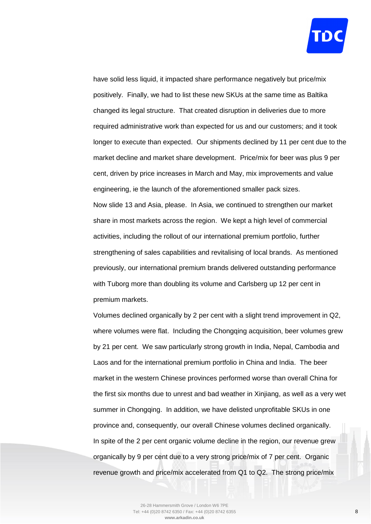

have solid less liquid, it impacted share performance negatively but price/mix positively. Finally, we had to list these new SKUs at the same time as Baltika changed its legal structure. That created disruption in deliveries due to more required administrative work than expected for us and our customers; and it took longer to execute than expected. Our shipments declined by 11 per cent due to the market decline and market share development. Price/mix for beer was plus 9 per cent, driven by price increases in March and May, mix improvements and value engineering, ie the launch of the aforementioned smaller pack sizes. Now slide 13 and Asia, please. In Asia, we continued to strengthen our market share in most markets across the region. We kept a high level of commercial activities, including the rollout of our international premium portfolio, further strengthening of sales capabilities and revitalising of local brands. As mentioned previously, our international premium brands delivered outstanding performance with Tuborg more than doubling its volume and Carlsberg up 12 per cent in premium markets.

Volumes declined organically by 2 per cent with a slight trend improvement in Q2, where volumes were flat. Including the Chongqing acquisition, beer volumes grew by 21 per cent. We saw particularly strong growth in India, Nepal, Cambodia and Laos and for the international premium portfolio in China and India. The beer market in the western Chinese provinces performed worse than overall China for the first six months due to unrest and bad weather in Xinjiang, as well as a very wet summer in Chongqing. In addition, we have delisted unprofitable SKUs in one province and, consequently, our overall Chinese volumes declined organically. In spite of the 2 per cent organic volume decline in the region, our revenue grew organically by 9 per cent due to a very strong price/mix of 7 per cent. Organic revenue growth and price/mix accelerated from Q1 to Q2. The strong price/mix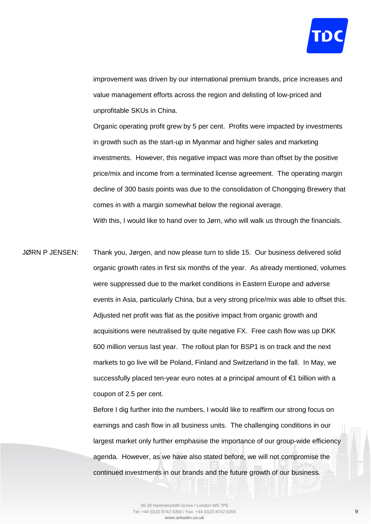

improvement was driven by our international premium brands, price increases and value management efforts across the region and delisting of low-priced and unprofitable SKUs in China.

Organic operating profit grew by 5 per cent. Profits were impacted by investments in growth such as the start-up in Myanmar and higher sales and marketing investments. However, this negative impact was more than offset by the positive price/mix and income from a terminated license agreement. The operating margin decline of 300 basis points was due to the consolidation of Chongqing Brewery that comes in with a margin somewhat below the regional average. With this, I would like to hand over to Jørn, who will walk us through the financials.

JØRN P JENSEN: Thank you, Jørgen, and now please turn to slide 15. Our business delivered solid organic growth rates in first six months of the year. As already mentioned, volumes were suppressed due to the market conditions in Eastern Europe and adverse events in Asia, particularly China, but a very strong price/mix was able to offset this. Adjusted net profit was flat as the positive impact from organic growth and acquisitions were neutralised by quite negative FX. Free cash flow was up DKK 600 million versus last year. The rollout plan for BSP1 is on track and the next markets to go live will be Poland, Finland and Switzerland in the fall. In May, we successfully placed ten-year euro notes at a principal amount of €1 billion with a coupon of 2.5 per cent.

> Before I dig further into the numbers, I would like to reaffirm our strong focus on earnings and cash flow in all business units. The challenging conditions in our largest market only further emphasise the importance of our group-wide efficiency agenda. However, as we have also stated before, we will not compromise the continued investments in our brands and the future growth of our business.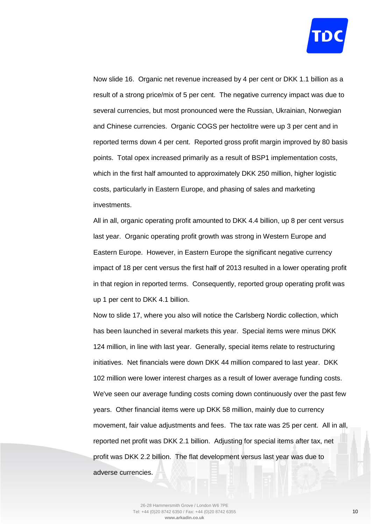

Now slide 16. Organic net revenue increased by 4 per cent or DKK 1.1 billion as a result of a strong price/mix of 5 per cent. The negative currency impact was due to several currencies, but most pronounced were the Russian, Ukrainian, Norwegian and Chinese currencies. Organic COGS per hectolitre were up 3 per cent and in reported terms down 4 per cent. Reported gross profit margin improved by 80 basis points. Total opex increased primarily as a result of BSP1 implementation costs, which in the first half amounted to approximately DKK 250 million, higher logistic costs, particularly in Eastern Europe, and phasing of sales and marketing investments.

All in all, organic operating profit amounted to DKK 4.4 billion, up 8 per cent versus last year. Organic operating profit growth was strong in Western Europe and Eastern Europe. However, in Eastern Europe the significant negative currency impact of 18 per cent versus the first half of 2013 resulted in a lower operating profit in that region in reported terms. Consequently, reported group operating profit was up 1 per cent to DKK 4.1 billion.

Now to slide 17, where you also will notice the Carlsberg Nordic collection, which has been launched in several markets this year. Special items were minus DKK 124 million, in line with last year. Generally, special items relate to restructuring initiatives. Net financials were down DKK 44 million compared to last year. DKK 102 million were lower interest charges as a result of lower average funding costs. We've seen our average funding costs coming down continuously over the past few years. Other financial items were up DKK 58 million, mainly due to currency movement, fair value adjustments and fees. The tax rate was 25 per cent. All in all, reported net profit was DKK 2.1 billion. Adjusting for special items after tax, net profit was DKK 2.2 billion. The flat development versus last year was due to adverse currencies.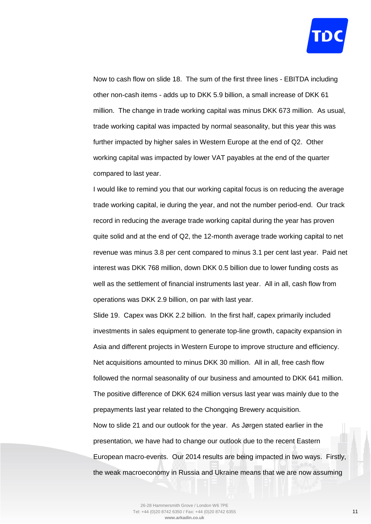

Now to cash flow on slide 18. The sum of the first three lines - EBITDA including other non-cash items - adds up to DKK 5.9 billion, a small increase of DKK 61 million. The change in trade working capital was minus DKK 673 million. As usual, trade working capital was impacted by normal seasonality, but this year this was further impacted by higher sales in Western Europe at the end of Q2. Other working capital was impacted by lower VAT payables at the end of the quarter compared to last year.

I would like to remind you that our working capital focus is on reducing the average trade working capital, ie during the year, and not the number period-end. Our track record in reducing the average trade working capital during the year has proven quite solid and at the end of Q2, the 12-month average trade working capital to net revenue was minus 3.8 per cent compared to minus 3.1 per cent last year. Paid net interest was DKK 768 million, down DKK 0.5 billion due to lower funding costs as well as the settlement of financial instruments last year. All in all, cash flow from operations was DKK 2.9 billion, on par with last year.

Slide 19. Capex was DKK 2.2 billion. In the first half, capex primarily included investments in sales equipment to generate top-line growth, capacity expansion in Asia and different projects in Western Europe to improve structure and efficiency. Net acquisitions amounted to minus DKK 30 million. All in all, free cash flow followed the normal seasonality of our business and amounted to DKK 641 million. The positive difference of DKK 624 million versus last year was mainly due to the prepayments last year related to the Chongqing Brewery acquisition. Now to slide 21 and our outlook for the year. As Jørgen stated earlier in the presentation, we have had to change our outlook due to the recent Eastern European macro-events. Our 2014 results are being impacted in two ways. Firstly, the weak macroeconomy in Russia and Ukraine means that we are now assuming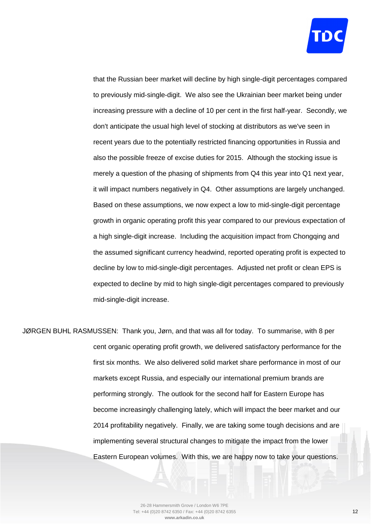

that the Russian beer market will decline by high single-digit percentages compared to previously mid-single-digit. We also see the Ukrainian beer market being under increasing pressure with a decline of 10 per cent in the first half-year. Secondly, we don't anticipate the usual high level of stocking at distributors as we've seen in recent years due to the potentially restricted financing opportunities in Russia and also the possible freeze of excise duties for 2015. Although the stocking issue is merely a question of the phasing of shipments from Q4 this year into Q1 next year, it will impact numbers negatively in Q4. Other assumptions are largely unchanged. Based on these assumptions, we now expect a low to mid-single-digit percentage growth in organic operating profit this year compared to our previous expectation of a high single-digit increase. Including the acquisition impact from Chongqing and the assumed significant currency headwind, reported operating profit is expected to decline by low to mid-single-digit percentages. Adjusted net profit or clean EPS is expected to decline by mid to high single-digit percentages compared to previously mid-single-digit increase.

JØRGEN BUHL RASMUSSEN: Thank you, Jørn, and that was all for today. To summarise, with 8 per cent organic operating profit growth, we delivered satisfactory performance for the first six months. We also delivered solid market share performance in most of our markets except Russia, and especially our international premium brands are performing strongly. The outlook for the second half for Eastern Europe has become increasingly challenging lately, which will impact the beer market and our 2014 profitability negatively. Finally, we are taking some tough decisions and are implementing several structural changes to mitigate the impact from the lower Eastern European volumes. With this, we are happy now to take your questions.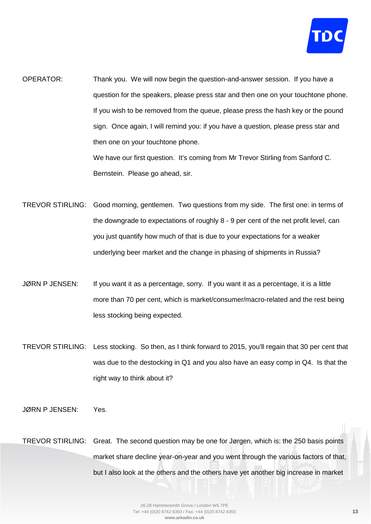

OPERATOR: Thank you. We will now begin the question-and-answer session. If you have a question for the speakers, please press star and then one on your touchtone phone. If you wish to be removed from the queue, please press the hash key or the pound sign. Once again, I will remind you: if you have a question, please press star and then one on your touchtone phone. We have our first question. It's coming from Mr Trevor Stirling from Sanford C.

Bernstein. Please go ahead, sir.

- TREVOR STIRLING: Good morning, gentlemen. Two questions from my side. The first one: in terms of the downgrade to expectations of roughly 8 - 9 per cent of the net profit level, can you just quantify how much of that is due to your expectations for a weaker underlying beer market and the change in phasing of shipments in Russia?
- JØRN P JENSEN: If you want it as a percentage, sorry. If you want it as a percentage, it is a little more than 70 per cent, which is market/consumer/macro-related and the rest being less stocking being expected.
- TREVOR STIRLING: Less stocking. So then, as I think forward to 2015, you'll regain that 30 per cent that was due to the destocking in Q1 and you also have an easy comp in Q4. Is that the right way to think about it?
- JØRN P JENSEN: Yes.
- TREVOR STIRLING: Great. The second question may be one for Jørgen, which is: the 250 basis points market share decline year-on-year and you went through the various factors of that, but I also look at the others and the others have yet another big increase in market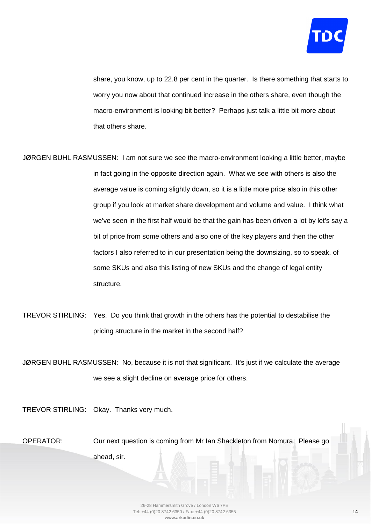

share, you know, up to 22.8 per cent in the quarter. Is there something that starts to worry you now about that continued increase in the others share, even though the macro-environment is looking bit better? Perhaps just talk a little bit more about that others share.

- JØRGEN BUHL RASMUSSEN: I am not sure we see the macro-environment looking a little better, maybe in fact going in the opposite direction again. What we see with others is also the average value is coming slightly down, so it is a little more price also in this other group if you look at market share development and volume and value. I think what we've seen in the first half would be that the gain has been driven a lot by let's say a bit of price from some others and also one of the key players and then the other factors I also referred to in our presentation being the downsizing, so to speak, of some SKUs and also this listing of new SKUs and the change of legal entity structure.
- TREVOR STIRLING: Yes. Do you think that growth in the others has the potential to destabilise the pricing structure in the market in the second half?

JØRGEN BUHL RASMUSSEN: No, because it is not that significant. It's just if we calculate the average we see a slight decline on average price for others.

TREVOR STIRLING: Okay. Thanks very much.

OPERATOR: Our next question is coming from Mr Ian Shackleton from Nomura. Please go ahead, sir.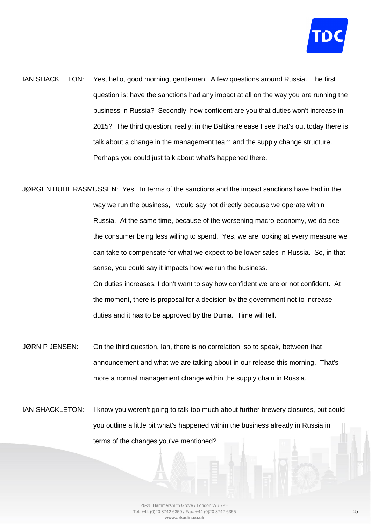

- IAN SHACKLETON: Yes, hello, good morning, gentlemen. A few questions around Russia. The first question is: have the sanctions had any impact at all on the way you are running the business in Russia? Secondly, how confident are you that duties won't increase in 2015? The third question, really: in the Baltika release I see that's out today there is talk about a change in the management team and the supply change structure. Perhaps you could just talk about what's happened there.
- JØRGEN BUHL RASMUSSEN: Yes. In terms of the sanctions and the impact sanctions have had in the way we run the business, I would say not directly because we operate within Russia. At the same time, because of the worsening macro-economy, we do see the consumer being less willing to spend. Yes, we are looking at every measure we can take to compensate for what we expect to be lower sales in Russia. So, in that sense, you could say it impacts how we run the business. On duties increases, I don't want to say how confident we are or not confident. At the moment, there is proposal for a decision by the government not to increase duties and it has to be approved by the Duma. Time will tell.
- JØRN P JENSEN: On the third question, Ian, there is no correlation, so to speak, between that announcement and what we are talking about in our release this morning. That's more a normal management change within the supply chain in Russia.
- IAN SHACKLETON: I know you weren't going to talk too much about further brewery closures, but could you outline a little bit what's happened within the business already in Russia in terms of the changes you've mentioned?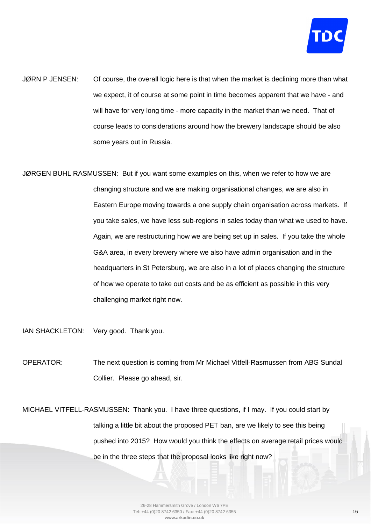

- JØRN P JENSEN: Of course, the overall logic here is that when the market is declining more than what we expect, it of course at some point in time becomes apparent that we have - and will have for very long time - more capacity in the market than we need. That of course leads to considerations around how the brewery landscape should be also some years out in Russia.
- JØRGEN BUHL RASMUSSEN: But if you want some examples on this, when we refer to how we are changing structure and we are making organisational changes, we are also in Eastern Europe moving towards a one supply chain organisation across markets. If you take sales, we have less sub-regions in sales today than what we used to have. Again, we are restructuring how we are being set up in sales. If you take the whole G&A area, in every brewery where we also have admin organisation and in the headquarters in St Petersburg, we are also in a lot of places changing the structure of how we operate to take out costs and be as efficient as possible in this very challenging market right now.
- IAN SHACKLETON: Very good. Thank you.
- OPERATOR: The next question is coming from Mr Michael Vitfell-Rasmussen from ABG Sundal Collier. Please go ahead, sir.
- MICHAEL VITFELL-RASMUSSEN: Thank you. I have three questions, if I may. If you could start by talking a little bit about the proposed PET ban, are we likely to see this being pushed into 2015? How would you think the effects on average retail prices would be in the three steps that the proposal looks like right now?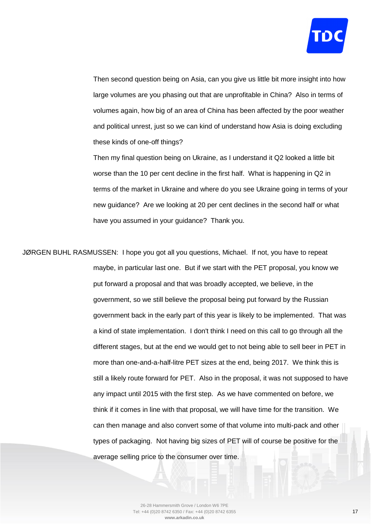

Then second question being on Asia, can you give us little bit more insight into how large volumes are you phasing out that are unprofitable in China? Also in terms of volumes again, how big of an area of China has been affected by the poor weather and political unrest, just so we can kind of understand how Asia is doing excluding these kinds of one-off things?

Then my final question being on Ukraine, as I understand it Q2 looked a little bit worse than the 10 per cent decline in the first half. What is happening in Q2 in terms of the market in Ukraine and where do you see Ukraine going in terms of your new guidance? Are we looking at 20 per cent declines in the second half or what have you assumed in your guidance? Thank you.

JØRGEN BUHL RASMUSSEN: I hope you got all you questions, Michael. If not, you have to repeat maybe, in particular last one. But if we start with the PET proposal, you know we put forward a proposal and that was broadly accepted, we believe, in the government, so we still believe the proposal being put forward by the Russian government back in the early part of this year is likely to be implemented. That was a kind of state implementation. I don't think I need on this call to go through all the different stages, but at the end we would get to not being able to sell beer in PET in more than one-and-a-half-litre PET sizes at the end, being 2017. We think this is still a likely route forward for PET. Also in the proposal, it was not supposed to have any impact until 2015 with the first step. As we have commented on before, we think if it comes in line with that proposal, we will have time for the transition. We can then manage and also convert some of that volume into multi-pack and other types of packaging. Not having big sizes of PET will of course be positive for the average selling price to the consumer over time.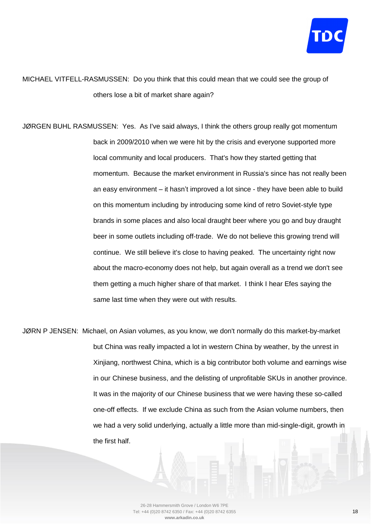

MICHAEL VITFELL-RASMUSSEN: Do you think that this could mean that we could see the group of others lose a bit of market share again?

JØRGEN BUHL RASMUSSEN: Yes. As I've said always, I think the others group really got momentum back in 2009/2010 when we were hit by the crisis and everyone supported more local community and local producers. That's how they started getting that momentum. Because the market environment in Russia's since has not really been an easy environment – it hasn't improved a lot since - they have been able to build on this momentum including by introducing some kind of retro Soviet-style type brands in some places and also local draught beer where you go and buy draught beer in some outlets including off-trade. We do not believe this growing trend will continue. We still believe it's close to having peaked. The uncertainty right now about the macro-economy does not help, but again overall as a trend we don't see them getting a much higher share of that market. I think I hear Efes saying the same last time when they were out with results.

JØRN P JENSEN: Michael, on Asian volumes, as you know, we don't normally do this market-by-market but China was really impacted a lot in western China by weather, by the unrest in Xinjiang, northwest China, which is a big contributor both volume and earnings wise in our Chinese business, and the delisting of unprofitable SKUs in another province. It was in the majority of our Chinese business that we were having these so-called one-off effects. If we exclude China as such from the Asian volume numbers, then we had a very solid underlying, actually a little more than mid-single-digit, growth in the first half.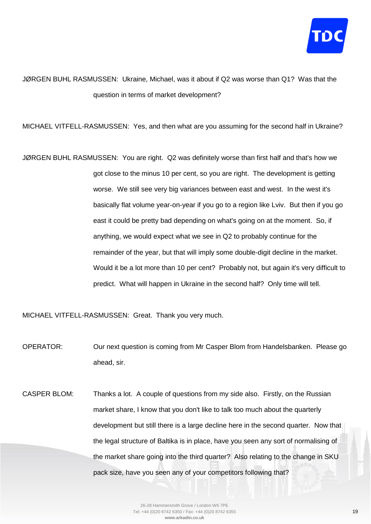

## JØRGEN BUHL RASMUSSEN: Ukraine, Michael, was it about if Q2 was worse than Q1? Was that the question in terms of market development?

MICHAEL VITFELL-RASMUSSEN: Yes, and then what are you assuming for the second half in Ukraine?

JØRGEN BUHL RASMUSSEN: You are right. Q2 was definitely worse than first half and that's how we got close to the minus 10 per cent, so you are right. The development is getting worse. We still see very big variances between east and west. In the west it's basically flat volume year-on-year if you go to a region like Lviv. But then if you go east it could be pretty bad depending on what's going on at the moment. So, if anything, we would expect what we see in Q2 to probably continue for the remainder of the year, but that will imply some double-digit decline in the market. Would it be a lot more than 10 per cent? Probably not, but again it's very difficult to predict. What will happen in Ukraine in the second half? Only time will tell.

MICHAEL VITFELL-RASMUSSEN: Great. Thank you very much.

OPERATOR: Our next question is coming from Mr Casper Blom from Handelsbanken. Please go ahead, sir.

CASPER BLOM: Thanks a lot. A couple of questions from my side also. Firstly, on the Russian market share, I know that you don't like to talk too much about the quarterly development but still there is a large decline here in the second quarter. Now that the legal structure of Baltika is in place, have you seen any sort of normalising of the market share going into the third quarter? Also relating to the change in SKU pack size, have you seen any of your competitors following that?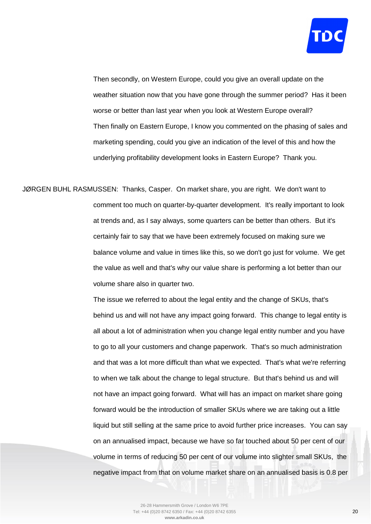

Then secondly, on Western Europe, could you give an overall update on the weather situation now that you have gone through the summer period? Has it been worse or better than last year when you look at Western Europe overall? Then finally on Eastern Europe, I know you commented on the phasing of sales and marketing spending, could you give an indication of the level of this and how the underlying profitability development looks in Eastern Europe? Thank you.

JØRGEN BUHL RASMUSSEN: Thanks, Casper. On market share, you are right. We don't want to comment too much on quarter-by-quarter development. It's really important to look at trends and, as I say always, some quarters can be better than others. But it's certainly fair to say that we have been extremely focused on making sure we balance volume and value in times like this, so we don't go just for volume. We get the value as well and that's why our value share is performing a lot better than our volume share also in quarter two.

> The issue we referred to about the legal entity and the change of SKUs, that's behind us and will not have any impact going forward. This change to legal entity is all about a lot of administration when you change legal entity number and you have to go to all your customers and change paperwork. That's so much administration and that was a lot more difficult than what we expected. That's what we're referring to when we talk about the change to legal structure. But that's behind us and will not have an impact going forward. What will has an impact on market share going forward would be the introduction of smaller SKUs where we are taking out a little liquid but still selling at the same price to avoid further price increases. You can say on an annualised impact, because we have so far touched about 50 per cent of our volume in terms of reducing 50 per cent of our volume into slighter small SKUs, the negative impact from that on volume market share on an annualised basis is 0.8 per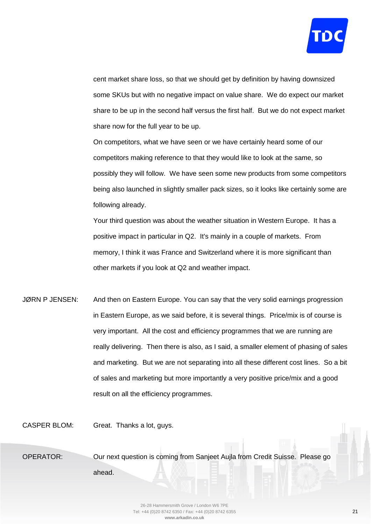

cent market share loss, so that we should get by definition by having downsized some SKUs but with no negative impact on value share. We do expect our market share to be up in the second half versus the first half. But we do not expect market share now for the full year to be up.

On competitors, what we have seen or we have certainly heard some of our competitors making reference to that they would like to look at the same, so possibly they will follow. We have seen some new products from some competitors being also launched in slightly smaller pack sizes, so it looks like certainly some are following already.

Your third question was about the weather situation in Western Europe. It has a positive impact in particular in Q2. It's mainly in a couple of markets. From memory, I think it was France and Switzerland where it is more significant than other markets if you look at Q2 and weather impact.

JØRN P JENSEN: And then on Eastern Europe. You can say that the very solid earnings progression in Eastern Europe, as we said before, it is several things. Price/mix is of course is very important. All the cost and efficiency programmes that we are running are really delivering. Then there is also, as I said, a smaller element of phasing of sales and marketing. But we are not separating into all these different cost lines. So a bit of sales and marketing but more importantly a very positive price/mix and a good result on all the efficiency programmes.

CASPER BLOM: Great. Thanks a lot, guys.

OPERATOR: Our next question is coming from Sanjeet Aujla from Credit Suisse. Please go ahead.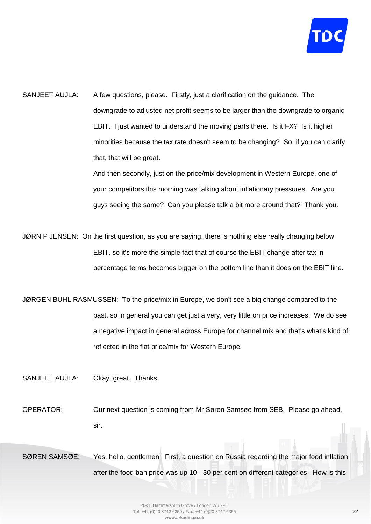

SANJEET AUJLA: A few questions, please. Firstly, just a clarification on the guidance. The downgrade to adjusted net profit seems to be larger than the downgrade to organic EBIT. I just wanted to understand the moving parts there. Is it FX? Is it higher minorities because the tax rate doesn't seem to be changing? So, if you can clarify that, that will be great.

> And then secondly, just on the price/mix development in Western Europe, one of your competitors this morning was talking about inflationary pressures. Are you guys seeing the same? Can you please talk a bit more around that? Thank you.

JØRN P JENSEN: On the first question, as you are saying, there is nothing else really changing below EBIT, so it's more the simple fact that of course the EBIT change after tax in percentage terms becomes bigger on the bottom line than it does on the EBIT line.

JØRGEN BUHL RASMUSSEN: To the price/mix in Europe, we don't see a big change compared to the past, so in general you can get just a very, very little on price increases. We do see a negative impact in general across Europe for channel mix and that's what's kind of reflected in the flat price/mix for Western Europe.

SANJEET AUJLA: Okay, great. Thanks.

OPERATOR: Our next question is coming from Mr Søren Samsøe from SEB. Please go ahead, sir.

SØREN SAMSØE: Yes, hello, gentlemen. First, a question on Russia regarding the major food inflation after the food ban price was up 10 - 30 per cent on different categories. How is this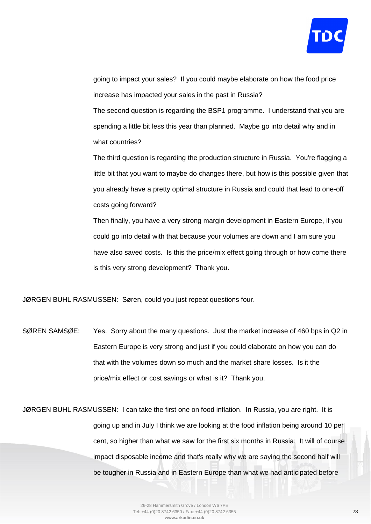

going to impact your sales? If you could maybe elaborate on how the food price increase has impacted your sales in the past in Russia?

The second question is regarding the BSP1 programme. I understand that you are spending a little bit less this year than planned. Maybe go into detail why and in what countries?

The third question is regarding the production structure in Russia. You're flagging a little bit that you want to maybe do changes there, but how is this possible given that you already have a pretty optimal structure in Russia and could that lead to one-off costs going forward?

Then finally, you have a very strong margin development in Eastern Europe, if you could go into detail with that because your volumes are down and I am sure you have also saved costs. Is this the price/mix effect going through or how come there is this very strong development? Thank you.

JØRGEN BUHL RASMUSSEN: Søren, could you just repeat questions four.

SØREN SAMSØE: Yes. Sorry about the many questions. Just the market increase of 460 bps in Q2 in Eastern Europe is very strong and just if you could elaborate on how you can do that with the volumes down so much and the market share losses. Is it the price/mix effect or cost savings or what is it? Thank you.

JØRGEN BUHL RASMUSSEN: I can take the first one on food inflation. In Russia, you are right. It is going up and in July I think we are looking at the food inflation being around 10 per cent, so higher than what we saw for the first six months in Russia. It will of course impact disposable income and that's really why we are saying the second half will be tougher in Russia and in Eastern Europe than what we had anticipated before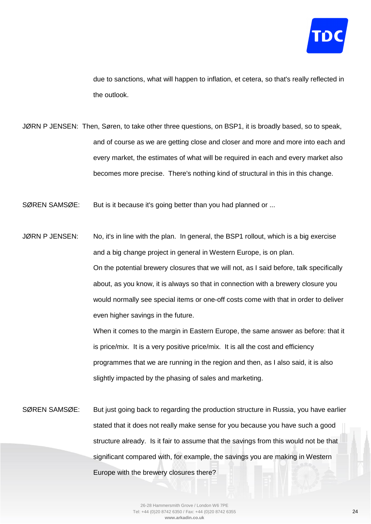

due to sanctions, what will happen to inflation, et cetera, so that's really reflected in the outlook.

- JØRN P JENSEN: Then, Søren, to take other three questions, on BSP1, it is broadly based, so to speak, and of course as we are getting close and closer and more and more into each and every market, the estimates of what will be required in each and every market also becomes more precise. There's nothing kind of structural in this in this change.
- SØREN SAMSØE: But is it because it's going better than you had planned or ...
- JØRN P JENSEN: No, it's in line with the plan. In general, the BSP1 rollout, which is a big exercise and a big change project in general in Western Europe, is on plan. On the potential brewery closures that we will not, as I said before, talk specifically about, as you know, it is always so that in connection with a brewery closure you would normally see special items or one-off costs come with that in order to deliver even higher savings in the future.

When it comes to the margin in Eastern Europe, the same answer as before: that it is price/mix. It is a very positive price/mix. It is all the cost and efficiency programmes that we are running in the region and then, as I also said, it is also slightly impacted by the phasing of sales and marketing.

SØREN SAMSØE: But just going back to regarding the production structure in Russia, you have earlier stated that it does not really make sense for you because you have such a good structure already. Is it fair to assume that the savings from this would not be that significant compared with, for example, the savings you are making in Western Europe with the brewery closures there?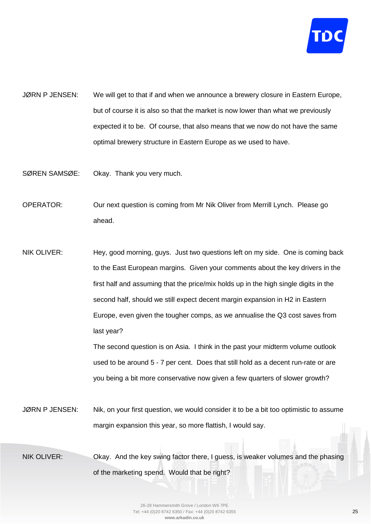

- JØRN P JENSEN: We will get to that if and when we announce a brewery closure in Eastern Europe, but of course it is also so that the market is now lower than what we previously expected it to be. Of course, that also means that we now do not have the same optimal brewery structure in Eastern Europe as we used to have.
- SØREN SAMSØE: Okay. Thank you very much.

OPERATOR: Our next question is coming from Mr Nik Oliver from Merrill Lynch. Please go ahead.

NIK OLIVER: Hey, good morning, guys. Just two questions left on my side. One is coming back to the East European margins. Given your comments about the key drivers in the first half and assuming that the price/mix holds up in the high single digits in the second half, should we still expect decent margin expansion in H2 in Eastern Europe, even given the tougher comps, as we annualise the Q3 cost saves from last year?

> The second question is on Asia. I think in the past your midterm volume outlook used to be around 5 - 7 per cent. Does that still hold as a decent run-rate or are you being a bit more conservative now given a few quarters of slower growth?

JØRN P JENSEN: Nik, on your first question, we would consider it to be a bit too optimistic to assume margin expansion this year, so more flattish, I would say.

NIK OLIVER: Okay. And the key swing factor there, I guess, is weaker volumes and the phasing of the marketing spend. Would that be right?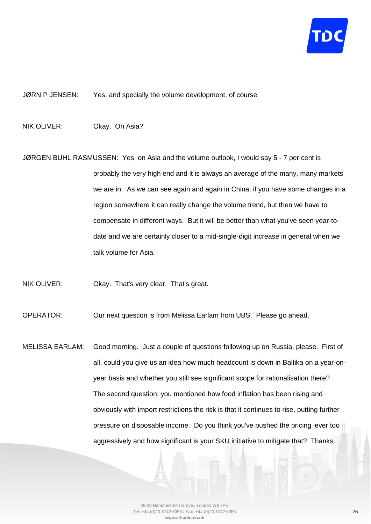

JØRN P JENSEN: Yes, and specially the volume development, of course.

NIK OLIVER: Okay. On Asia?

JØRGEN BUHL RASMUSSEN: Yes, on Asia and the volume outlook, I would say 5 - 7 per cent is probably the very high end and it is always an average of the many, many markets we are in. As we can see again and again in China, if you have some changes in a region somewhere it can really change the volume trend, but then we have to compensate in different ways. But it will be better than what you've seen year-todate and we are certainly closer to a mid-single-digit increase in general when we talk volume for Asia.

NIK OLIVER: Okay. That's very clear. That's great.

OPERATOR: Our next question is from Melissa Earlam from UBS. Please go ahead.

MELISSA EARLAM: Good morning. Just a couple of questions following up on Russia, please. First of all, could you give us an idea how much headcount is down in Baltika on a year-onyear basis and whether you still see significant scope for rationalisation there? The second question: you mentioned how food inflation has been rising and obviously with import restrictions the risk is that it continues to rise, putting further pressure on disposable income. Do you think you've pushed the pricing lever too aggressively and how significant is your SKU initiative to mitigate that? Thanks.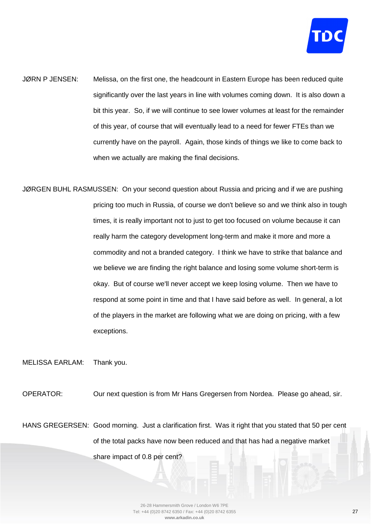

- JØRN P JENSEN: Melissa, on the first one, the headcount in Eastern Europe has been reduced quite significantly over the last years in line with volumes coming down. It is also down a bit this year. So, if we will continue to see lower volumes at least for the remainder of this year, of course that will eventually lead to a need for fewer FTEs than we currently have on the payroll. Again, those kinds of things we like to come back to when we actually are making the final decisions.
- JØRGEN BUHL RASMUSSEN: On your second question about Russia and pricing and if we are pushing pricing too much in Russia, of course we don't believe so and we think also in tough times, it is really important not to just to get too focused on volume because it can really harm the category development long-term and make it more and more a commodity and not a branded category. I think we have to strike that balance and we believe we are finding the right balance and losing some volume short-term is okay. But of course we'll never accept we keep losing volume. Then we have to respond at some point in time and that I have said before as well. In general, a lot of the players in the market are following what we are doing on pricing, with a few exceptions.

MELISSA EARLAM: Thank you.

OPERATOR: Our next question is from Mr Hans Gregersen from Nordea. Please go ahead, sir.

HANS GREGERSEN: Good morning. Just a clarification first. Was it right that you stated that 50 per cent of the total packs have now been reduced and that has had a negative market share impact of 0.8 per cent?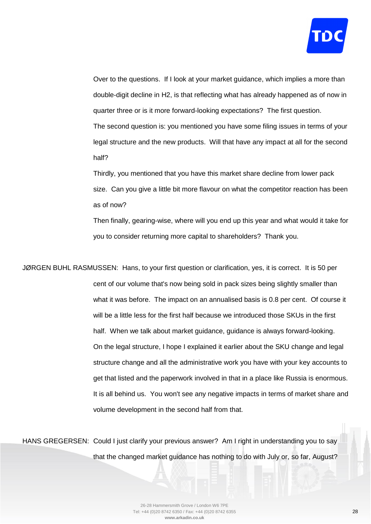

Over to the questions. If I look at your market guidance, which implies a more than double-digit decline in H2, is that reflecting what has already happened as of now in quarter three or is it more forward-looking expectations? The first question.

The second question is: you mentioned you have some filing issues in terms of your legal structure and the new products. Will that have any impact at all for the second half?

Thirdly, you mentioned that you have this market share decline from lower pack size. Can you give a little bit more flavour on what the competitor reaction has been as of now?

Then finally, gearing-wise, where will you end up this year and what would it take for you to consider returning more capital to shareholders? Thank you.

JØRGEN BUHL RASMUSSEN: Hans, to your first question or clarification, yes, it is correct. It is 50 per cent of our volume that's now being sold in pack sizes being slightly smaller than what it was before. The impact on an annualised basis is 0.8 per cent. Of course it will be a little less for the first half because we introduced those SKUs in the first half. When we talk about market guidance, guidance is always forward-looking. On the legal structure, I hope I explained it earlier about the SKU change and legal structure change and all the administrative work you have with your key accounts to get that listed and the paperwork involved in that in a place like Russia is enormous. It is all behind us. You won't see any negative impacts in terms of market share and volume development in the second half from that.

HANS GREGERSEN: Could I just clarify your previous answer? Am I right in understanding you to say that the changed market guidance has nothing to do with July or, so far, August?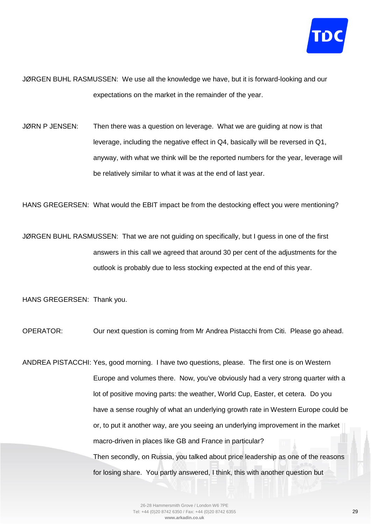

JØRGEN BUHL RASMUSSEN: We use all the knowledge we have, but it is forward-looking and our expectations on the market in the remainder of the year.

JØRN P JENSEN: Then there was a question on leverage. What we are guiding at now is that leverage, including the negative effect in Q4, basically will be reversed in Q1, anyway, with what we think will be the reported numbers for the year, leverage will be relatively similar to what it was at the end of last year.

HANS GREGERSEN: What would the EBIT impact be from the destocking effect you were mentioning?

JØRGEN BUHL RASMUSSEN: That we are not guiding on specifically, but I guess in one of the first answers in this call we agreed that around 30 per cent of the adjustments for the outlook is probably due to less stocking expected at the end of this year.

HANS GREGERSEN: Thank you.

OPERATOR: Our next question is coming from Mr Andrea Pistacchi from Citi. Please go ahead.

ANDREA PISTACCHI: Yes, good morning. I have two questions, please. The first one is on Western Europe and volumes there. Now, you've obviously had a very strong quarter with a lot of positive moving parts: the weather, World Cup, Easter, et cetera. Do you have a sense roughly of what an underlying growth rate in Western Europe could be or, to put it another way, are you seeing an underlying improvement in the market macro-driven in places like GB and France in particular? Then secondly, on Russia, you talked about price leadership as one of the reasons

for losing share. You partly answered, I think, this with another question but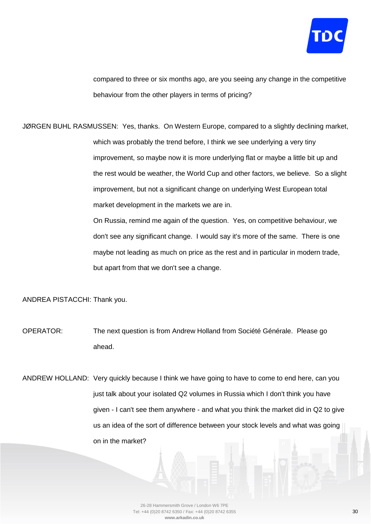

compared to three or six months ago, are you seeing any change in the competitive behaviour from the other players in terms of pricing?

JØRGEN BUHL RASMUSSEN: Yes, thanks. On Western Europe, compared to a slightly declining market, which was probably the trend before, I think we see underlying a very tiny improvement, so maybe now it is more underlying flat or maybe a little bit up and the rest would be weather, the World Cup and other factors, we believe. So a slight improvement, but not a significant change on underlying West European total market development in the markets we are in. On Russia, remind me again of the question. Yes, on competitive behaviour, we

don't see any significant change. I would say it's more of the same. There is one maybe not leading as much on price as the rest and in particular in modern trade, but apart from that we don't see a change.

ANDREA PISTACCHI: Thank you.

OPERATOR: The next question is from Andrew Holland from Société Générale. Please go ahead.

ANDREW HOLLAND: Very quickly because I think we have going to have to come to end here, can you just talk about your isolated Q2 volumes in Russia which I don't think you have given - I can't see them anywhere - and what you think the market did in Q2 to give us an idea of the sort of difference between your stock levels and what was going on in the market?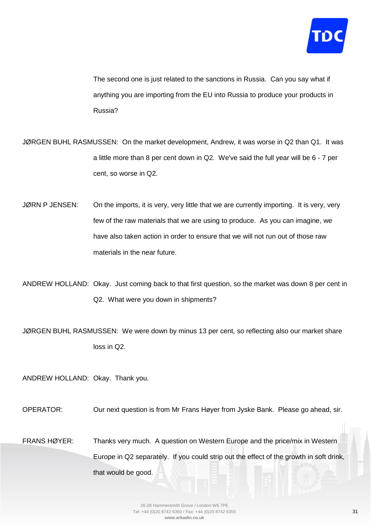

The second one is just related to the sanctions in Russia. Can you say what if anything you are importing from the EU into Russia to produce your products in Russia?

JØRGEN BUHL RASMUSSEN: On the market development, Andrew, it was worse in Q2 than Q1. It was a little more than 8 per cent down in Q2. We've said the full year will be 6 - 7 per cent, so worse in Q2.

JØRN P JENSEN: On the imports, it is very, very little that we are currently importing. It is very, very few of the raw materials that we are using to produce. As you can imagine, we have also taken action in order to ensure that we will not run out of those raw materials in the near future.

ANDREW HOLLAND: Okay. Just coming back to that first question, so the market was down 8 per cent in Q2. What were you down in shipments?

JØRGEN BUHL RASMUSSEN: We were down by minus 13 per cent, so reflecting also our market share loss in Q2.

ANDREW HOLLAND: Okay. Thank you.

OPERATOR: Our next question is from Mr Frans Høyer from Jyske Bank. Please go ahead, sir.

FRANS HØYER: Thanks very much. A question on Western Europe and the price/mix in Western Europe in Q2 separately. If you could strip out the effect of the growth in soft drink, that would be good.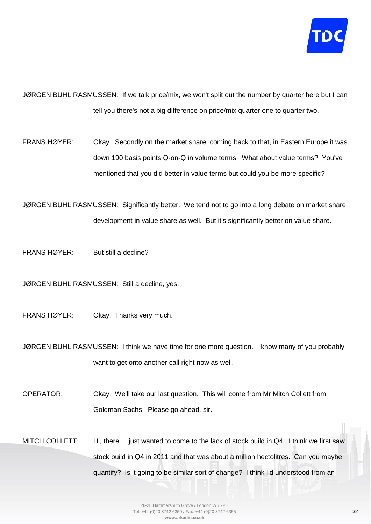

JØRGEN BUHL RASMUSSEN: If we talk price/mix, we won't split out the number by quarter here but I can tell you there's not a big difference on price/mix quarter one to quarter two.

FRANS HØYER: Okay. Secondly on the market share, coming back to that, in Eastern Europe it was down 190 basis points Q-on-Q in volume terms. What about value terms? You've mentioned that you did better in value terms but could you be more specific?

JØRGEN BUHL RASMUSSEN: Significantly better. We tend not to go into a long debate on market share development in value share as well. But it's significantly better on value share.

FRANS HØYER: But still a decline?

JØRGEN BUHL RASMUSSEN: Still a decline, yes.

FRANS HØYER: Okay. Thanks very much.

JØRGEN BUHL RASMUSSEN: I think we have time for one more question. I know many of you probably want to get onto another call right now as well.

OPERATOR: Okay. We'll take our last question. This will come from Mr Mitch Collett from Goldman Sachs. Please go ahead, sir.

MITCH COLLETT: Hi, there. I just wanted to come to the lack of stock build in Q4. I think we first saw stock build in Q4 in 2011 and that was about a million hectolitres. Can you maybe quantify? Is it going to be similar sort of change? I think I'd understood from an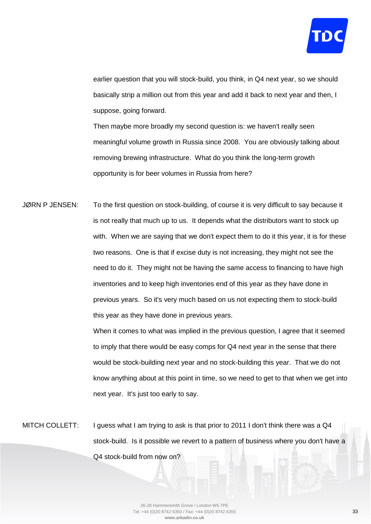

earlier question that you will stock-build, you think, in Q4 next year, so we should basically strip a million out from this year and add it back to next year and then, I suppose, going forward.

Then maybe more broadly my second question is: we haven't really seen meaningful volume growth in Russia since 2008. You are obviously talking about removing brewing infrastructure. What do you think the long-term growth opportunity is for beer volumes in Russia from here?

JØRN P JENSEN: To the first question on stock-building, of course it is very difficult to say because it is not really that much up to us. It depends what the distributors want to stock up with. When we are saying that we don't expect them to do it this year, it is for these two reasons. One is that if excise duty is not increasing, they might not see the need to do it. They might not be having the same access to financing to have high inventories and to keep high inventories end of this year as they have done in previous years. So it's very much based on us not expecting them to stock-build this year as they have done in previous years.

> When it comes to what was implied in the previous question, I agree that it seemed to imply that there would be easy comps for Q4 next year in the sense that there would be stock-building next year and no stock-building this year. That we do not know anything about at this point in time, so we need to get to that when we get into next year. It's just too early to say.

MITCH COLLETT: I guess what I am trying to ask is that prior to 2011 I don't think there was a Q4 stock-build. Is it possible we revert to a pattern of business where you don't have a Q4 stock-build from now on?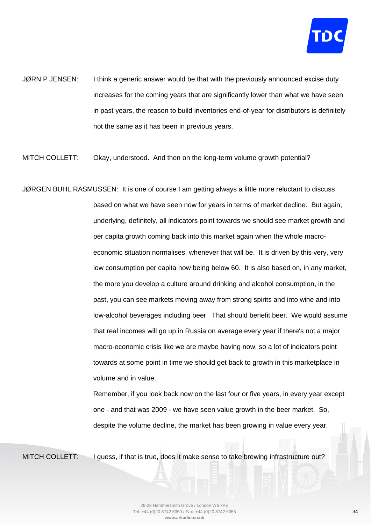

JØRN P JENSEN: I think a generic answer would be that with the previously announced excise duty increases for the coming years that are significantly lower than what we have seen in past years, the reason to build inventories end-of-year for distributors is definitely not the same as it has been in previous years.

MITCH COLLETT: Okay, understood. And then on the long-term volume growth potential?

JØRGEN BUHL RASMUSSEN: It is one of course I am getting always a little more reluctant to discuss based on what we have seen now for years in terms of market decline. But again, underlying, definitely, all indicators point towards we should see market growth and per capita growth coming back into this market again when the whole macroeconomic situation normalises, whenever that will be. It is driven by this very, very low consumption per capita now being below 60. It is also based on, in any market, the more you develop a culture around drinking and alcohol consumption, in the past, you can see markets moving away from strong spirits and into wine and into low-alcohol beverages including beer. That should benefit beer. We would assume that real incomes will go up in Russia on average every year if there's not a major macro-economic crisis like we are maybe having now, so a lot of indicators point towards at some point in time we should get back to growth in this marketplace in volume and in value.

> Remember, if you look back now on the last four or five years, in every year except one - and that was 2009 - we have seen value growth in the beer market. So, despite the volume decline, the market has been growing in value every year.

MITCH COLLETT: I guess, if that is true, does it make sense to take brewing infrastructure out?